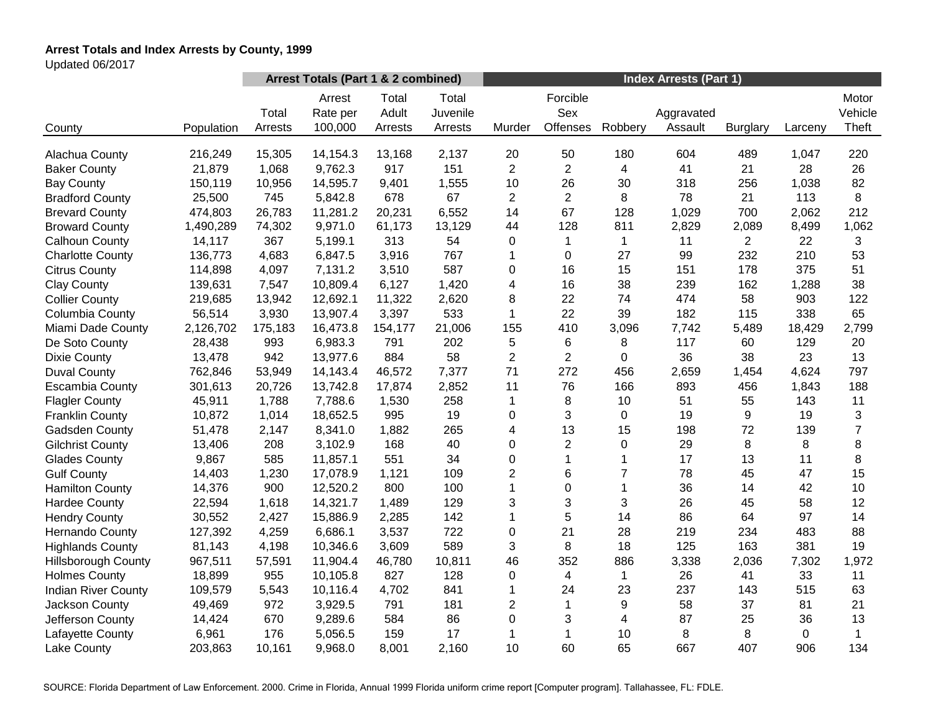# **Arrest Totals and Index Arrests by County, 1999**

Updated 06/2017

|                            |            | Arrest Totals (Part 1 & 2 combined) |                               |                           |                              | <b>Index Arrests (Part 1)</b> |                             |              |                       |                 |         |                           |
|----------------------------|------------|-------------------------------------|-------------------------------|---------------------------|------------------------------|-------------------------------|-----------------------------|--------------|-----------------------|-----------------|---------|---------------------------|
| County                     | Population | Total<br>Arrests                    | Arrest<br>Rate per<br>100,000 | Total<br>Adult<br>Arrests | Total<br>Juvenile<br>Arrests | Murder                        | Forcible<br>Sex<br>Offenses | Robbery      | Aggravated<br>Assault | <b>Burglary</b> | Larceny | Motor<br>Vehicle<br>Theft |
|                            |            |                                     |                               |                           |                              |                               |                             |              |                       |                 |         |                           |
| Alachua County             | 216,249    | 15,305                              | 14,154.3                      | 13,168                    | 2,137                        | 20                            | 50                          | 180          | 604                   | 489             | 1,047   | 220                       |
| <b>Baker County</b>        | 21,879     | 1,068                               | 9,762.3                       | 917                       | 151                          | $\overline{c}$                | $\overline{c}$              | 4            | 41                    | 21              | 28      | 26                        |
| <b>Bay County</b>          | 150,119    | 10,956                              | 14,595.7                      | 9,401                     | 1,555                        | 10                            | 26                          | 30           | 318                   | 256             | 1,038   | 82                        |
| <b>Bradford County</b>     | 25,500     | 745                                 | 5,842.8                       | 678                       | 67                           | $\overline{2}$                | $\overline{2}$              | 8            | 78                    | 21              | 113     | 8                         |
| <b>Brevard County</b>      | 474,803    | 26,783                              | 11,281.2                      | 20,231                    | 6,552                        | 14                            | 67                          | 128          | 1,029                 | 700             | 2,062   | 212                       |
| <b>Broward County</b>      | 1,490,289  | 74,302                              | 9,971.0                       | 61,173                    | 13,129                       | 44                            | 128                         | 811          | 2,829                 | 2,089           | 8,499   | 1,062                     |
| Calhoun County             | 14,117     | 367                                 | 5,199.1                       | 313                       | 54                           | 0                             | $\mathbf 1$                 | $\mathbf 1$  | 11                    | $\overline{2}$  | 22      | 3                         |
| <b>Charlotte County</b>    | 136,773    | 4,683                               | 6,847.5                       | 3,916                     | 767                          | 1                             | 0                           | 27           | 99                    | 232             | 210     | 53                        |
| <b>Citrus County</b>       | 114,898    | 4,097                               | 7,131.2                       | 3,510                     | 587                          | 0                             | 16                          | 15           | 151                   | 178             | 375     | 51                        |
| <b>Clay County</b>         | 139,631    | 7,547                               | 10,809.4                      | 6,127                     | 1,420                        | 4                             | 16                          | 38           | 239                   | 162             | 1,288   | 38                        |
| <b>Collier County</b>      | 219,685    | 13,942                              | 12,692.1                      | 11,322                    | 2,620                        | 8                             | 22                          | 74           | 474                   | 58              | 903     | 122                       |
| Columbia County            | 56,514     | 3,930                               | 13,907.4                      | 3,397                     | 533                          | 1                             | 22                          | 39           | 182                   | 115             | 338     | 65                        |
| Miami Dade County          | 2,126,702  | 175,183                             | 16,473.8                      | 154,177                   | 21,006                       | 155                           | 410                         | 3,096        | 7,742                 | 5,489           | 18,429  | 2,799                     |
| De Soto County             | 28,438     | 993                                 | 6,983.3                       | 791                       | 202                          | 5                             | 6                           | 8            | 117                   | 60              | 129     | 20                        |
| <b>Dixie County</b>        | 13,478     | 942                                 | 13,977.6                      | 884                       | 58                           | $\overline{2}$                | $\overline{2}$              | 0            | 36                    | 38              | 23      | 13                        |
| <b>Duval County</b>        | 762,846    | 53,949                              | 14,143.4                      | 46,572                    | 7,377                        | 71                            | 272                         | 456          | 2,659                 | 1,454           | 4,624   | 797                       |
| <b>Escambia County</b>     | 301,613    | 20,726                              | 13,742.8                      | 17,874                    | 2,852                        | 11                            | 76                          | 166          | 893                   | 456             | 1,843   | 188                       |
| <b>Flagler County</b>      | 45,911     | 1,788                               | 7,788.6                       | 1,530                     | 258                          | 1                             | 8                           | 10           | 51                    | 55              | 143     | 11                        |
| <b>Franklin County</b>     | 10,872     | 1,014                               | 18,652.5                      | 995                       | 19                           | 0                             | 3                           | 0            | 19                    | 9               | 19      | 3                         |
| Gadsden County             | 51,478     | 2,147                               | 8,341.0                       | 1,882                     | 265                          | 4                             | 13                          | 15           | 198                   | 72              | 139     | $\overline{7}$            |
| <b>Gilchrist County</b>    | 13,406     | 208                                 | 3,102.9                       | 168                       | 40                           | 0                             | $\overline{2}$              | 0            | 29                    | 8               | 8       | 8                         |
| <b>Glades County</b>       | 9,867      | 585                                 | 11,857.1                      | 551                       | 34                           | 0                             | $\mathbf{1}$                | 1            | 17                    | 13              | 11      | 8                         |
| <b>Gulf County</b>         | 14,403     | 1,230                               | 17,078.9                      | 1,121                     | 109                          | $\overline{2}$                | 6                           | 7            | 78                    | 45              | 47      | 15                        |
| <b>Hamilton County</b>     | 14,376     | 900                                 | 12,520.2                      | 800                       | 100                          | $\mathbf{1}$                  | 0                           | $\mathbf{1}$ | 36                    | 14              | 42      | 10                        |
| <b>Hardee County</b>       | 22,594     | 1,618                               | 14,321.7                      | 1,489                     | 129                          | 3                             | 3                           | 3            | 26                    | 45              | 58      | 12                        |
| <b>Hendry County</b>       | 30,552     | 2,427                               | 15,886.9                      | 2,285                     | 142                          | $\mathbf{1}$                  | 5                           | 14           | 86                    | 64              | 97      | 14                        |
| <b>Hernando County</b>     | 127,392    | 4,259                               | 6,686.1                       | 3,537                     | 722                          | 0                             | 21                          | 28           | 219                   | 234             | 483     | 88                        |
| <b>Highlands County</b>    | 81,143     | 4,198                               | 10,346.6                      | 3,609                     | 589                          | 3                             | 8                           | 18           | 125                   | 163             | 381     | 19                        |
| <b>Hillsborough County</b> | 967,511    | 57,591                              | 11,904.4                      | 46,780                    | 10,811                       | 46                            | 352                         | 886          | 3,338                 | 2,036           | 7,302   | 1,972                     |
| <b>Holmes County</b>       | 18,899     | 955                                 | 10,105.8                      | 827                       | 128                          | 0                             | $\overline{4}$              | 1            | 26                    | 41              | 33      | 11                        |
| <b>Indian River County</b> | 109,579    | 5,543                               | 10,116.4                      | 4,702                     | 841                          | 1                             | 24                          | 23           | 237                   | 143             | 515     | 63                        |
| Jackson County             | 49,469     | 972                                 | 3,929.5                       | 791                       | 181                          | $\overline{c}$                | $\mathbf 1$                 | 9            | 58                    | 37              | 81      | 21                        |
| Jefferson County           | 14,424     | 670                                 | 9,289.6                       | 584                       | 86                           | 0                             | 3                           | 4            | 87                    | 25              | 36      | 13                        |
| Lafayette County           | 6,961      | 176                                 | 5,056.5                       | 159                       | 17                           | 1                             | 1                           | 10           | 8                     | 8               | 0       | $\mathbf{1}$              |
| Lake County                | 203,863    | 10,161                              | 9,968.0                       | 8,001                     | 2,160                        | 10                            | 60                          | 65           | 667                   | 407             | 906     | 134                       |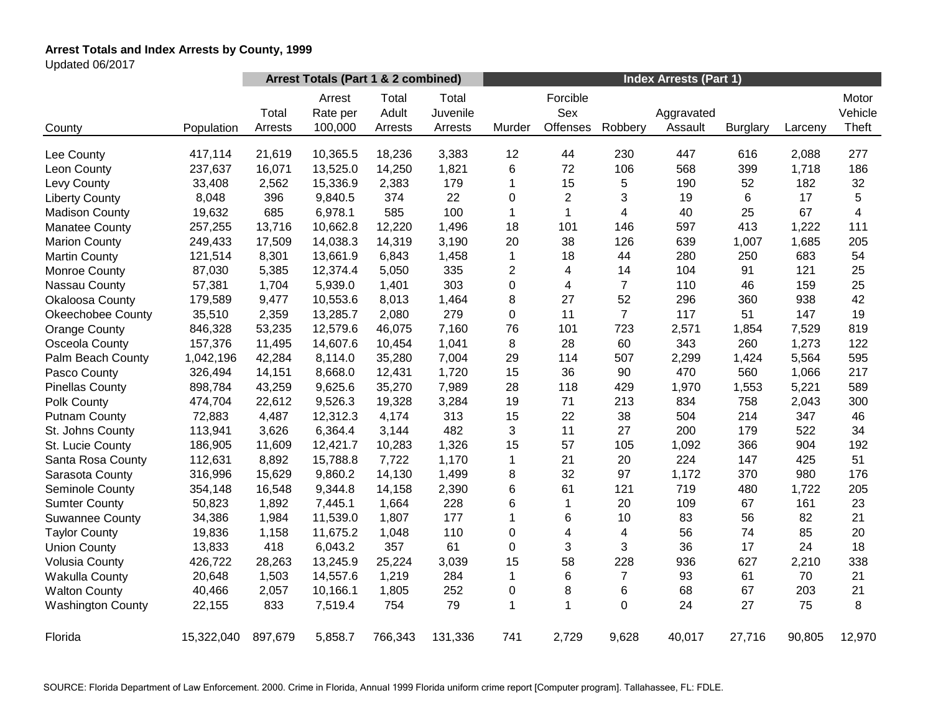# **Arrest Totals and Index Arrests by County, 1999**

Updated 06/2017

|                          |            | Arrest Totals (Part 1 & 2 combined) |                               |                           |                              | <b>Index Arrests (Part 1)</b> |                             |                |                       |                 |         |                           |
|--------------------------|------------|-------------------------------------|-------------------------------|---------------------------|------------------------------|-------------------------------|-----------------------------|----------------|-----------------------|-----------------|---------|---------------------------|
| County                   | Population | Total<br>Arrests                    | Arrest<br>Rate per<br>100,000 | Total<br>Adult<br>Arrests | Total<br>Juvenile<br>Arrests | Murder                        | Forcible<br>Sex<br>Offenses | Robbery        | Aggravated<br>Assault | <b>Burglary</b> | Larceny | Motor<br>Vehicle<br>Theft |
|                          |            |                                     |                               |                           |                              |                               |                             |                |                       |                 |         |                           |
| Lee County               | 417,114    | 21,619                              | 10,365.5                      | 18,236                    | 3,383                        | 12                            | 44                          | 230            | 447                   | 616             | 2,088   | 277                       |
| Leon County              | 237,637    | 16,071                              | 13,525.0                      | 14,250                    | 1,821                        | 6                             | 72                          | 106            | 568                   | 399             | 1,718   | 186                       |
| Levy County              | 33,408     | 2,562                               | 15,336.9                      | 2,383                     | 179                          | 1                             | 15                          | 5              | 190                   | 52              | 182     | 32                        |
| <b>Liberty County</b>    | 8,048      | 396                                 | 9,840.5                       | 374                       | 22                           | $\Omega$                      | $\overline{c}$              | 3              | 19                    | 6               | 17      | 5                         |
| <b>Madison County</b>    | 19,632     | 685                                 | 6,978.1                       | 585                       | 100                          | $\mathbf 1$                   | $\mathbf{1}$                | 4              | 40                    | 25              | 67      | $\overline{4}$            |
| <b>Manatee County</b>    | 257,255    | 13,716                              | 10,662.8                      | 12,220                    | 1,496                        | 18                            | 101                         | 146            | 597                   | 413             | 1,222   | 111                       |
| <b>Marion County</b>     | 249,433    | 17,509                              | 14,038.3                      | 14,319                    | 3,190                        | 20                            | 38                          | 126            | 639                   | 1,007           | 1,685   | 205                       |
| <b>Martin County</b>     | 121,514    | 8,301                               | 13,661.9                      | 6,843                     | 1,458                        | $\mathbf 1$                   | 18                          | 44             | 280                   | 250             | 683     | 54                        |
| <b>Monroe County</b>     | 87,030     | 5,385                               | 12,374.4                      | 5,050                     | 335                          | 2                             | 4                           | 14             | 104                   | 91              | 121     | 25                        |
| Nassau County            | 57,381     | 1,704                               | 5,939.0                       | 1,401                     | 303                          | 0                             | 4                           | $\overline{7}$ | 110                   | 46              | 159     | 25                        |
| <b>Okaloosa County</b>   | 179,589    | 9,477                               | 10,553.6                      | 8,013                     | 1,464                        | 8                             | 27                          | 52             | 296                   | 360             | 938     | 42                        |
| <b>Okeechobee County</b> | 35,510     | 2,359                               | 13,285.7                      | 2,080                     | 279                          | 0                             | 11                          | $\overline{7}$ | 117                   | 51              | 147     | 19                        |
| <b>Orange County</b>     | 846,328    | 53,235                              | 12,579.6                      | 46,075                    | 7,160                        | 76                            | 101                         | 723            | 2,571                 | 1,854           | 7,529   | 819                       |
| Osceola County           | 157,376    | 11,495                              | 14,607.6                      | 10,454                    | 1,041                        | 8                             | 28                          | 60             | 343                   | 260             | 1,273   | 122                       |
| Palm Beach County        | 1,042,196  | 42,284                              | 8,114.0                       | 35,280                    | 7,004                        | 29                            | 114                         | 507            | 2,299                 | 1,424           | 5,564   | 595                       |
| Pasco County             | 326,494    | 14,151                              | 8,668.0                       | 12,431                    | 1,720                        | 15                            | 36                          | 90             | 470                   | 560             | 1,066   | 217                       |
| <b>Pinellas County</b>   | 898,784    | 43,259                              | 9,625.6                       | 35,270                    | 7,989                        | 28                            | 118                         | 429            | 1,970                 | 1,553           | 5,221   | 589                       |
| Polk County              | 474,704    | 22,612                              | 9,526.3                       | 19,328                    | 3,284                        | 19                            | 71                          | 213            | 834                   | 758             | 2,043   | 300                       |
| <b>Putnam County</b>     | 72,883     | 4,487                               | 12,312.3                      | 4,174                     | 313                          | 15                            | 22                          | 38             | 504                   | 214             | 347     | 46                        |
| St. Johns County         | 113,941    | 3,626                               | 6,364.4                       | 3,144                     | 482                          | 3                             | 11                          | 27             | 200                   | 179             | 522     | 34                        |
| St. Lucie County         | 186,905    | 11,609                              | 12,421.7                      | 10,283                    | 1,326                        | 15                            | 57                          | 105            | 1,092                 | 366             | 904     | 192                       |
| Santa Rosa County        | 112,631    | 8,892                               | 15,788.8                      | 7,722                     | 1,170                        | 1                             | 21                          | 20             | 224                   | 147             | 425     | 51                        |
| Sarasota County          | 316,996    | 15,629                              | 9,860.2                       | 14,130                    | 1,499                        | 8                             | 32                          | 97             | 1,172                 | 370             | 980     | 176                       |
| Seminole County          | 354,148    | 16,548                              | 9,344.8                       | 14,158                    | 2,390                        | 6                             | 61                          | 121            | 719                   | 480             | 1,722   | 205                       |
| <b>Sumter County</b>     | 50,823     | 1,892                               | 7,445.1                       | 1,664                     | 228                          | 6                             | $\mathbf{1}$                | 20             | 109                   | 67              | 161     | 23                        |
| <b>Suwannee County</b>   | 34,386     | 1,984                               | 11,539.0                      | 1,807                     | 177                          | 1                             | 6                           | 10             | 83                    | 56              | 82      | 21                        |
| <b>Taylor County</b>     | 19,836     | 1,158                               | 11,675.2                      | 1,048                     | 110                          | 0                             | 4                           | 4              | 56                    | 74              | 85      | 20                        |
| <b>Union County</b>      | 13,833     | 418                                 | 6,043.2                       | 357                       | 61                           | 0                             | 3                           | 3              | 36                    | 17              | 24      | 18                        |
| <b>Volusia County</b>    | 426,722    | 28,263                              | 13,245.9                      | 25,224                    | 3,039                        | 15                            | 58                          | 228            | 936                   | 627             | 2,210   | 338                       |
| <b>Wakulla County</b>    | 20,648     | 1,503                               | 14,557.6                      | 1,219                     | 284                          | 1                             | 6                           | $\overline{7}$ | 93                    | 61              | 70      | 21                        |
| <b>Walton County</b>     | 40,466     | 2,057                               | 10,166.1                      | 1,805                     | 252                          | 0                             | 8                           | 6              | 68                    | 67              | 203     | 21                        |
| <b>Washington County</b> | 22,155     | 833                                 | 7,519.4                       | 754                       | 79                           | 1                             | 1                           | 0              | 24                    | 27              | 75      | 8                         |
| Florida                  | 15,322,040 | 897,679                             | 5,858.7                       | 766,343                   | 131,336                      | 741                           | 2,729                       | 9,628          | 40,017                | 27,716          | 90,805  | 12,970                    |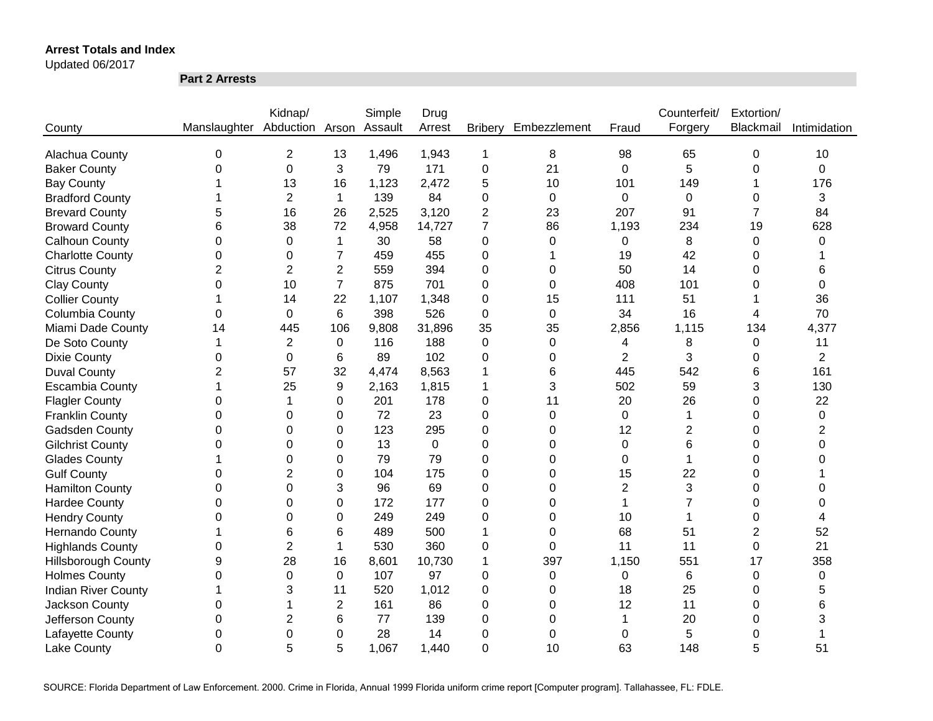Updated 06/2017

**Part 2 Arrests**

|                            |                              | Kidnap/        |                | Simple  | Drug     |                |                  |                | Counterfeit/   | Extortion/     |                |
|----------------------------|------------------------------|----------------|----------------|---------|----------|----------------|------------------|----------------|----------------|----------------|----------------|
| County                     | Manslaughter Abduction Arson |                |                | Assault | Arrest   | <b>Bribery</b> | Embezzlement     | Fraud          | Forgery        | Blackmail      | Intimidation   |
|                            |                              |                |                |         |          |                |                  |                |                |                |                |
| Alachua County             | 0                            | $\overline{2}$ | 13             | 1,496   | 1,943    | 1              | 8                | 98             | 65             | 0              | 10             |
| <b>Baker County</b>        | 0                            | $\mathbf 0$    | 3              | 79      | 171      | $\mathbf 0$    | 21               | 0              | 5              | 0              | 0              |
| <b>Bay County</b>          |                              | 13             | 16             | 1,123   | 2,472    | 5              | 10               | 101            | 149            |                | 176            |
| <b>Bradford County</b>     |                              | $\overline{2}$ | $\mathbf{1}$   | 139     | 84       | 0              | $\mathbf 0$      | 0              | $\mathbf 0$    | 0              | 3              |
| <b>Brevard County</b>      | 5                            | 16             | 26             | 2,525   | 3,120    | $\overline{2}$ | 23               | 207            | 91             | $\overline{7}$ | 84             |
| <b>Broward County</b>      | 6                            | 38             | 72             | 4,958   | 14,727   | 7              | 86               | 1,193          | 234            | 19             | 628            |
| <b>Calhoun County</b>      | 0                            | 0              | $\mathbf{1}$   | 30      | 58       | 0              | 0                | 0              | 8              | 0              | 0              |
| <b>Charlotte County</b>    | 0                            | 0              | 7              | 459     | 455      | 0              |                  | 19             | 42             | 0              |                |
| <b>Citrus County</b>       | $\overline{2}$               | 2              | $\overline{c}$ | 559     | 394      | 0              | 0                | 50             | 14             | 0              | 6              |
| <b>Clay County</b>         | 0                            | 10             | $\overline{7}$ | 875     | 701      | 0              | $\Omega$         | 408            | 101            | 0              | 0              |
| <b>Collier County</b>      |                              | 14             | 22             | 1,107   | 1,348    | 0              | 15               | 111            | 51             |                | 36             |
| Columbia County            | 0                            | 0              | 6              | 398     | 526      | 0              | 0                | 34             | 16             | 4              | 70             |
| Miami Dade County          | 14                           | 445            | 106            | 9,808   | 31,896   | 35             | 35               | 2,856          | 1,115          | 134            | 4,377          |
| De Soto County             |                              | $\overline{2}$ | $\Omega$       | 116     | 188      | 0              | $\Omega$         | 4              | 8              | $\pmb{0}$      | 11             |
| <b>Dixie County</b>        | 0                            | 0              | 6              | 89      | 102      | 0              | $\Omega$         | $\overline{2}$ | 3              | 0              | $\overline{2}$ |
| <b>Duval County</b>        | $\overline{2}$               | 57             | 32             | 4,474   | 8,563    |                | 6                | 445            | 542            | 6              | 161            |
| <b>Escambia County</b>     |                              | 25             | 9              | 2,163   | 1,815    | 1              | 3                | 502            | 59             | 3              | 130            |
| <b>Flagler County</b>      | 0                            | 1              | 0              | 201     | 178      | 0              | 11               | 20             | 26             | 0              | 22             |
| <b>Franklin County</b>     | $\Omega$                     | $\Omega$       | $\Omega$       | 72      | 23       | 0              | $\overline{0}$   | $\Omega$       | 1              | 0              | 0              |
| Gadsden County             | 0                            | $\Omega$       | 0              | 123     | 295      | 0              | $\Omega$         | 12             | $\overline{2}$ | 0              | 2              |
| <b>Gilchrist County</b>    | $\Omega$                     | $\Omega$       | 0              | 13      | $\Omega$ | 0              | $\Omega$         | $\Omega$       | 6              | 0              | 0              |
| <b>Glades County</b>       |                              | 0              | 0              | 79      | 79       | 0              | $\Omega$         | 0              | 1              | 0              | 0              |
| <b>Gulf County</b>         | 0                            | 2              | 0              | 104     | 175      | 0              | $\Omega$         | 15             | 22             | 0              |                |
| <b>Hamilton County</b>     | 0                            | 0              | 3              | 96      | 69       | 0              | $\Omega$         | $\overline{2}$ | 3              | 0              | 0              |
| <b>Hardee County</b>       | 0                            | $\Omega$       | 0              | 172     | 177      | 0              | 0                | 1              | $\overline{7}$ | 0              | 0              |
| <b>Hendry County</b>       | 0                            | 0              | 0              | 249     | 249      | 0              | 0                | 10             | 1              | 0              | 4              |
| Hernando County            |                              | 6              | 6              | 489     | 500      | 1              | $\Omega$         | 68             | 51             | $\overline{2}$ | 52             |
| <b>Highlands County</b>    | 0                            | $\overline{2}$ | 1              | 530     | 360      | 0              | 0                | 11             | 11             | 0              | 21             |
| <b>Hillsborough County</b> | 9                            | 28             | 16             | 8,601   | 10,730   | 1              | 397              | 1,150          | 551            | 17             | 358            |
| <b>Holmes County</b>       | 0                            | $\Omega$       | 0              | 107     | 97       | 0              | 0                | 0              | 6              | 0              | 0              |
| <b>Indian River County</b> |                              | 3              | 11             | 520     | 1,012    | 0              | $\boldsymbol{0}$ | 18             | 25             | 0              | 5              |
| Jackson County             | 0                            |                | $\overline{2}$ | 161     | 86       | 0              | 0                | 12             | 11             | 0              | 6              |
| Jefferson County           | 0                            | $\overline{2}$ | 6              | 77      | 139      | 0              | 0                |                | 20             | 0              | 3              |
| Lafayette County           | 0                            | $\mathbf 0$    | 0              | 28      | 14       | 0              | 0                | 0              | 5              | 0              |                |
| <b>Lake County</b>         | $\overline{0}$               | 5              | 5              | 1,067   | 1,440    | 0              | 10               | 63             | 148            | 5              | 51             |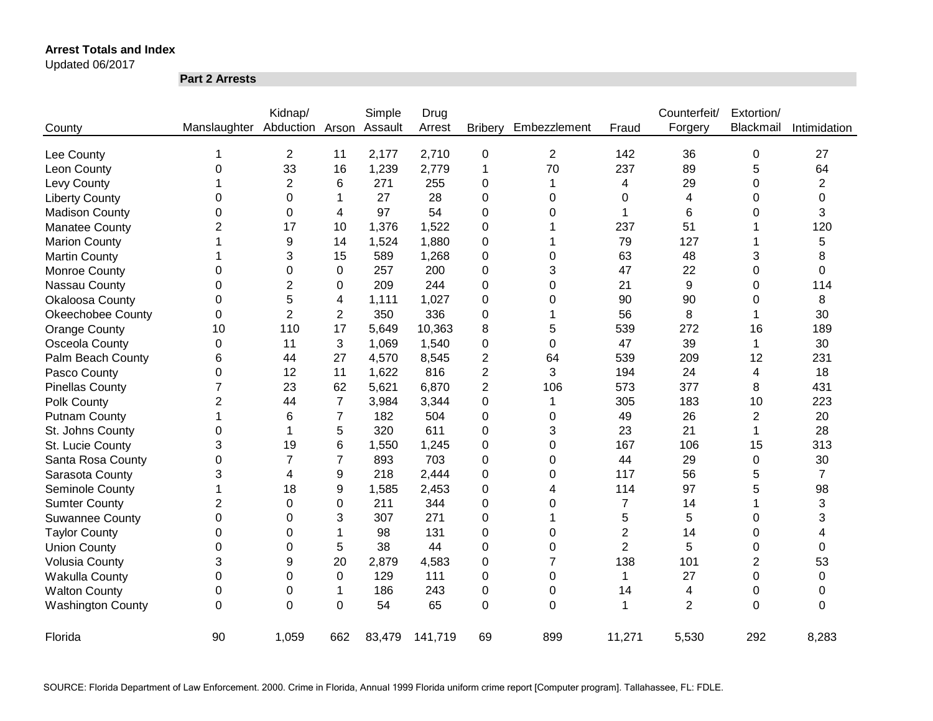Updated 06/2017

**Part 2 Arrests**

|                          |                | Kidnap/         |                | Simple  | Drug    |                |                |                | Counterfeit/   | Extortion/     |                |
|--------------------------|----------------|-----------------|----------------|---------|---------|----------------|----------------|----------------|----------------|----------------|----------------|
| County                   | Manslaughter   | Abduction Arson |                | Assault | Arrest  | <b>Bribery</b> | Embezzlement   | Fraud          | Forgery        | Blackmail      | Intimidation   |
| Lee County               |                | $\overline{2}$  | 11             | 2,177   | 2,710   | $\mathbf 0$    | $\overline{2}$ | 142            | 36             | 0              | 27             |
| Leon County              | 0              | 33              | 16             | 1,239   | 2,779   | 1              | 70             | 237            | 89             | 5              | 64             |
| Levy County              |                | $\overline{2}$  | 6              | 271     | 255     | 0              | 1              | 4              | 29             | 0              | $\overline{2}$ |
| <b>Liberty County</b>    | 0              | 0               | 1              | 27      | 28      | 0              | 0              | 0              | 4              | 0              | 0              |
| <b>Madison County</b>    | 0              | 0               | 4              | 97      | 54      | 0              | 0              |                | 6              | 0              | 3              |
| Manatee County           | $\overline{2}$ | 17              | 10             | 1,376   | 1,522   | 0              |                | 237            | 51             |                | 120            |
| <b>Marion County</b>     |                | 9               | 14             | 1,524   | 1,880   | 0              |                | 79             | 127            |                | 5              |
| <b>Martin County</b>     |                | 3               | 15             | 589     | 1,268   | 0              | 0              | 63             | 48             | 3              | 8              |
| <b>Monroe County</b>     | 0              | 0               | 0              | 257     | 200     | 0              | 3              | 47             | 22             | 0              | 0              |
| Nassau County            | 0              | 2               | 0              | 209     | 244     | 0              | 0              | 21             | 9              | 0              | 114            |
| <b>Okaloosa County</b>   | 0              | 5               | 4              | 1,111   | 1,027   | 0              | 0              | 90             | 90             | 0              | 8              |
| <b>Okeechobee County</b> | $\pmb{0}$      | $\overline{2}$  | $\overline{2}$ | 350     | 336     | 0              |                | 56             | 8              | 1              | 30             |
| <b>Orange County</b>     | 10             | 110             | 17             | 5,649   | 10,363  | 8              | 5              | 539            | 272            | 16             | 189            |
| Osceola County           | $\pmb{0}$      | 11              | 3              | 1,069   | 1,540   | 0              | 0              | 47             | 39             | 1              | 30             |
| Palm Beach County        | 6              | 44              | 27             | 4,570   | 8,545   | 2              | 64             | 539            | 209            | 12             | 231            |
| Pasco County             | 0              | 12              | 11             | 1,622   | 816     | 2              | 3              | 194            | 24             | 4              | 18             |
| <b>Pinellas County</b>   | 7              | 23              | 62             | 5,621   | 6,870   | $\overline{2}$ | 106            | 573            | 377            | 8              | 431            |
| Polk County              | $\overline{2}$ | 44              | $\overline{7}$ | 3,984   | 3,344   | 0              | 1              | 305            | 183            | 10             | 223            |
| <b>Putnam County</b>     | 1              | 6               | 7              | 182     | 504     | 0              | 0              | 49             | 26             | $\overline{2}$ | 20             |
| St. Johns County         | 0              | 1               | 5              | 320     | 611     | 0              | 3              | 23             | 21             | 1              | 28             |
| St. Lucie County         | 3              | 19              | 6              | 1,550   | 1,245   | 0              | $\Omega$       | 167            | 106            | 15             | 313            |
| Santa Rosa County        | 0              | 7               | $\overline{7}$ | 893     | 703     | 0              | $\Omega$       | 44             | 29             | 0              | 30             |
| Sarasota County          | 3              | 4               | 9              | 218     | 2,444   | 0              | 0              | 117            | 56             | 5              | $\overline{7}$ |
| Seminole County          | 1              | 18              | 9              | 1,585   | 2,453   | 0              | 4              | 114            | 97             | 5              | 98             |
| <b>Sumter County</b>     | $\overline{c}$ | $\Omega$        | 0              | 211     | 344     | 0              | $\Omega$       | 7              | 14             |                | 3              |
| <b>Suwannee County</b>   | $\mathbf 0$    | 0               | 3              | 307     | 271     | 0              | 1              | 5              | 5              | 0              | 3              |
| <b>Taylor County</b>     | 0              | 0               | 1              | 98      | 131     | 0              | $\Omega$       | $\overline{2}$ | 14             | 0              | 4              |
| <b>Union County</b>      | 0              | 0               | 5              | 38      | 44      | 0              | 0              | $\overline{2}$ | 5              | 0              | 0              |
| <b>Volusia County</b>    | 3              | 9               | 20             | 2,879   | 4,583   | 0              | 7              | 138            | 101            | 2              | 53             |
| <b>Wakulla County</b>    | 0              | 0               | $\Omega$       | 129     | 111     | 0              | $\Omega$       | 1              | 27             | 0              | 0              |
| <b>Walton County</b>     | 0              | 0               | 1              | 186     | 243     | 0              | $\Omega$       | 14             | 4              | 0              | 0              |
| <b>Washington County</b> | $\Omega$       | $\Omega$        | $\Omega$       | 54      | 65      | 0              | $\Omega$       | 1              | $\overline{2}$ | $\Omega$       | 0              |
| Florida                  | 90             | 1,059           | 662            | 83,479  | 141,719 | 69             | 899            | 11,271         | 5,530          | 292            | 8,283          |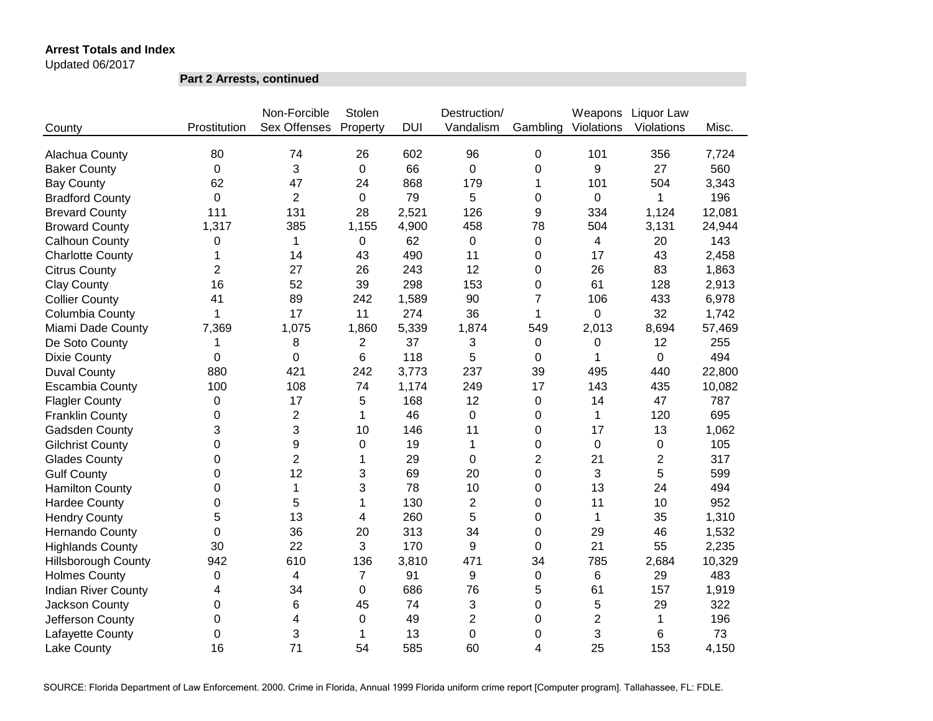Updated 06/2017

**Part 2 Arrests, continued**

|                            |                | Non-Forcible        | Stolen         |            | Destruction/   |                | Weapons        | Liquor Law     |        |
|----------------------------|----------------|---------------------|----------------|------------|----------------|----------------|----------------|----------------|--------|
| County                     | Prostitution   | <b>Sex Offenses</b> | Property       | <b>DUI</b> | Vandalism      | Gambling       | Violations     | Violations     | Misc.  |
| Alachua County             | 80             | 74                  | 26             | 602        | 96             | 0              | 101            | 356            | 7,724  |
| <b>Baker County</b>        | 0              | 3                   | 0              | 66         | $\overline{0}$ | 0              | 9              | 27             | 560    |
| <b>Bay County</b>          | 62             | 47                  | 24             | 868        | 179            | 1              | 101            | 504            | 3,343  |
| <b>Bradford County</b>     | $\overline{0}$ | $\overline{2}$      | 0              | 79         | 5              | 0              | 0              | 1              | 196    |
| <b>Brevard County</b>      | 111            | 131                 | 28             | 2,521      | 126            | 9              | 334            | 1,124          | 12,081 |
| <b>Broward County</b>      | 1,317          | 385                 | 1,155          | 4,900      | 458            | 78             | 504            | 3,131          | 24,944 |
| Calhoun County             | 0              | 1                   | 0              | 62         | 0              | 0              | 4              | 20             | 143    |
| <b>Charlotte County</b>    | 1              | 14                  | 43             | 490        | 11             | 0              | 17             | 43             | 2,458  |
| <b>Citrus County</b>       | $\overline{2}$ | 27                  | 26             | 243        | 12             | 0              | 26             | 83             | 1,863  |
| <b>Clay County</b>         | 16             | 52                  | 39             | 298        | 153            | 0              | 61             | 128            | 2,913  |
| <b>Collier County</b>      | 41             | 89                  | 242            | 1,589      | 90             | $\overline{7}$ | 106            | 433            | 6,978  |
| Columbia County            | 1              | 17                  | 11             | 274        | 36             | 1              | 0              | 32             | 1,742  |
| Miami Dade County          | 7,369          | 1,075               | 1,860          | 5,339      | 1,874          | 549            | 2,013          | 8,694          | 57,469 |
| De Soto County             | 1              | 8                   | 2              | 37         | 3              | 0              | 0              | 12             | 255    |
| <b>Dixie County</b>        | 0              | 0                   | 6              | 118        | 5              | 0              |                | 0              | 494    |
| <b>Duval County</b>        | 880            | 421                 | 242            | 3,773      | 237            | 39             | 495            | 440            | 22,800 |
| <b>Escambia County</b>     | 100            | 108                 | 74             | 1,174      | 249            | 17             | 143            | 435            | 10,082 |
| <b>Flagler County</b>      | 0              | 17                  | 5              | 168        | 12             | 0              | 14             | 47             | 787    |
| <b>Franklin County</b>     | 0              | $\mathbf{2}$        | 1              | 46         | 0              | 0              | $\mathbf 1$    | 120            | 695    |
| Gadsden County             | 3              | 3                   | 10             | 146        | 11             | 0              | 17             | 13             | 1,062  |
| <b>Gilchrist County</b>    | $\Omega$       | 9                   | $\mathbf 0$    | 19         | $\mathbf{1}$   | 0              | $\mathbf 0$    | 0              | 105    |
| <b>Glades County</b>       | $\Omega$       | $\overline{2}$      | 1              | 29         | $\mathbf 0$    | $\overline{2}$ | 21             | $\overline{2}$ | 317    |
| <b>Gulf County</b>         | $\Omega$       | 12                  | 3              | 69         | 20             | 0              | 3              | 5              | 599    |
| <b>Hamilton County</b>     | 0              | 1                   | 3              | 78         | 10             | 0              | 13             | 24             | 494    |
| <b>Hardee County</b>       | 0              | 5                   | $\mathbf{1}$   | 130        | $\overline{2}$ | 0              | 11             | 10             | 952    |
| <b>Hendry County</b>       | 5              | 13                  | 4              | 260        | 5              | 0              | $\mathbf{1}$   | 35             | 1,310  |
| <b>Hernando County</b>     | 0              | 36                  | 20             | 313        | 34             | 0              | 29             | 46             | 1,532  |
| <b>Highlands County</b>    | 30             | 22                  | 3              | 170        | 9              | 0              | 21             | 55             | 2,235  |
| <b>Hillsborough County</b> | 942            | 610                 | 136            | 3,810      | 471            | 34             | 785            | 2,684          | 10,329 |
| <b>Holmes County</b>       | 0              | 4                   | $\overline{7}$ | 91         | 9              | 0              | 6              | 29             | 483    |
| <b>Indian River County</b> | 4              | 34                  | 0              | 686        | 76             | 5              | 61             | 157            | 1,919  |
| Jackson County             | 0              | 6                   | 45             | 74         | 3              | 0              | 5              | 29             | 322    |
| Jefferson County           | 0              | 4                   | 0              | 49         | $\overline{2}$ | 0              | $\overline{2}$ | 1              | 196    |
| Lafayette County           | 0              | 3                   | 1              | 13         | $\overline{0}$ | 0              | 3              | 6              | 73     |
| Lake County                | 16             | 71                  | 54             | 585        | 60             | 4              | 25             | 153            | 4,150  |

SOURCE: Florida Department of Law Enforcement. 2000. Crime in Florida, Annual 1999 Florida uniform crime report [Computer program]. Tallahassee, FL: FDLE.